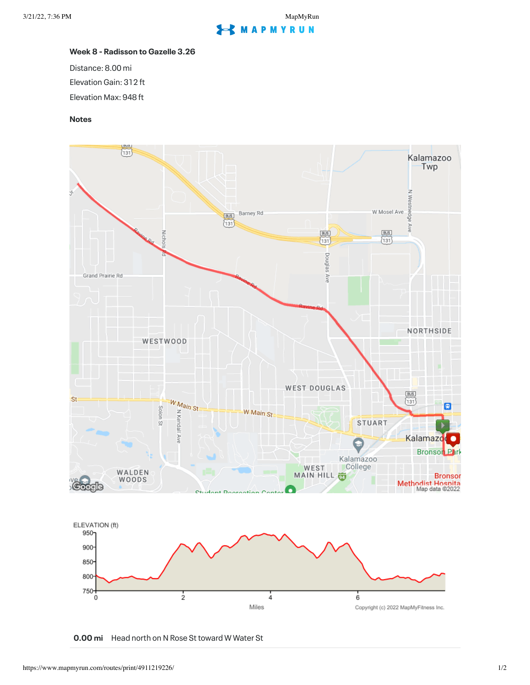## **MAPMYRUN**

## **Week 8 - Radisson to Gazelle 3.26**

Distance: 8.00 mi Elevation Gain: 312 ft Elevation Max: 948 ft

## **Notes**